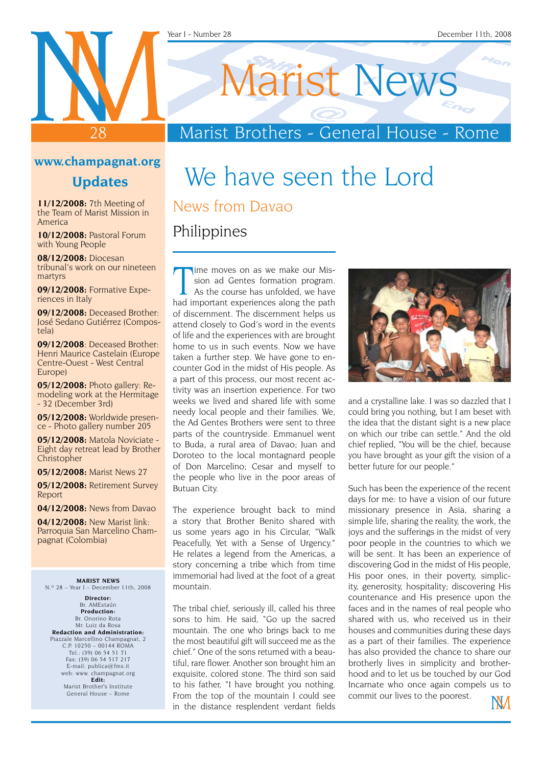#### Year I - Number 28 December 11th, 2008

Marist News

### Marist Brothers - General House - Rome

#### **www.champagnat.org**

28

#### **Updates**

**11/12/2008:** 7th Meeting of the Team of Marist Mission in America

**10/12/2008:** Pastoral Forum with Young People

**08/12/2008:** Diocesan tribunal's work on our nineteen martyrs

**09/12/2008:** Formative Experiences in Italy

**09/12/2008:** Deceased Brother: José Sedano Gutiérrez (Compostela)

**09/12/2008**: Deceased Brother: Henri Maurice Castelain (Europe Centre-Ouest - West Central Europe)

**05/12/2008:** Photo gallery: Remodeling work at the Hermitage - 32 (December 3rd)

**05/12/2008:** Worldwide presence - Photo gallery number 205

**05/12/2008:** Matola Noviciate - Eight day retreat lead by Brother Christopher

**05/12/2008:** Marist News 27

**05/12/2008:** Retirement Survey Report

**04/12/2008:** News from Davao

**04/12/2008:** New Marist link: Parroquia San Marcelino Champagnat (Colombia)

**MARIST NEWS** N.º 28 – Year I – December 11th, 2008

**Director:** Br. AMEstaún **Production:** Br. Onorino Rota Mr. Luiz da Rosa **Redaction and Administration:** Piazzale Marcellino Champagnat, 2 C.P. 10250 – 00144 ROMA Tel.: (39) 06 54 51 71 Fax: (39) 06 54 517 217 E-mail: publica@fms.it web: www. champagnat.org **Edit:** Marist Brother's Institute General House – Rome

## We have seen the Lord News from Davao

Philippines

The moves on as we make our Mission ad Gentes formation program.<br>As the course has unfolded, we have had important experiences along the path ime moves on as we make our Mission ad Gentes formation program. As the course has unfolded, we have of discernment. The discernment helps us attend closely to God's word in the events of life and the experiences with are brought home to us in such events. Now we have taken a further step. We have gone to encounter God in the midst of His people. As a part of this process, our most recent activity was an insertion experience. For two weeks we lived and shared life with some needy local people and their families. We, the Ad Gentes Brothers were sent to three parts of the countryside. Emmanuel went to Buda, a rural area of Davao; Juan and Doroteo to the local montagnard people of Don Marcelino; Cesar and myself to the people who live in the poor areas of Butuan City.

The experience brought back to mind a story that Brother Benito shared with us some years ago in his Circular, "Walk Peacefully, Yet with a Sense of Urgency." He relates a legend from the Americas, a story concerning a tribe which from time immemorial had lived at the foot of a great mountain.

The tribal chief, seriously ill, called his three sons to him. He said, "Go up the sacred mountain. The one who brings back to me the most beautiful gift will succeed me as the chief." One of the sons returned with a beautiful, rare flower. Another son brought him an exquisite, colored stone. The third son said to his father, "I have brought you nothing. From the top of the mountain I could see in the distance resplendent verdant fields



and a crystalline lake. I was so dazzled that I could bring you nothing, but I am beset with the idea that the distant sight is a new place on which our tribe can settle." And the old chief replied, "You will be the chief, because you have brought as your gift the vision of a better future for our people."

Such has been the experience of the recent days for me: to have a vision of our future missionary presence in Asia, sharing a simple life, sharing the reality, the work, the joys and the sufferings in the midst of very poor people in the countries to which we will be sent. It has been an experience of discovering God in the midst of His people, His poor ones, in their poverty, simplicity, generosity, hospitality; discovering His countenance and His presence upon the faces and in the names of real people who shared with us, who received us in their houses and communities during these days as a part of their families. The experience has also provided the chance to share our brotherly lives in simplicity and brotherhood and to let us be touched by our God Incarnate who once again compels us to commit our lives to the poorest.

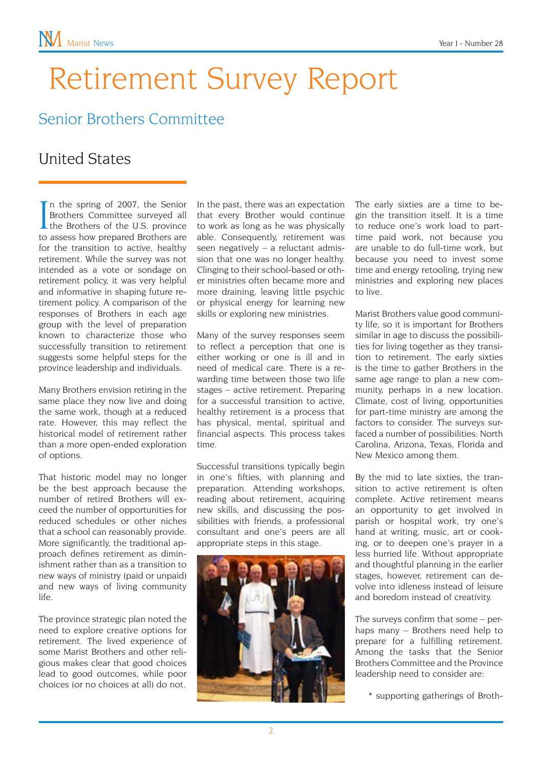## Retirement Survey Report

### Senior Brothers Committee

#### United States

In the spring of 2007, the Senior<br>Brothers Committee surveyed all<br>the Brothers of the U.S. province<br>to assess how prepared Brothers are n the spring of 2007, the Senior Brothers Committee surveyed all to assess how prepared Brothers are for the transition to active, healthy retirement. While the survey was not intended as a vote or sondage on retirement policy, it was very helpful and informative in shaping future retirement policy. A comparison of the responses of Brothers in each age group with the level of preparation known to characterize those who successfully transition to retirement suggests some helpful steps for the province leadership and individuals.

Many Brothers envision retiring in the same place they now live and doing the same work, though at a reduced rate. However, this may reflect the historical model of retirement rather than a more open-ended exploration of options.

That historic model may no longer be the best approach because the number of retired Brothers will exceed the number of opportunities for reduced schedules or other niches that a school can reasonably provide. More significantly, the traditional approach defines retirement as diminishment rather than as a transition to new ways of ministry (paid or unpaid) and new ways of living community life.

The province strategic plan noted the need to explore creative options for retirement. The lived experience of some Marist Brothers and other religious makes clear that good choices lead to good outcomes, while poor choices (or no choices at all) do not.

In the past, there was an expectation that every Brother would continue to work as long as he was physically able. Consequently, retirement was seen negatively – a reluctant admission that one was no longer healthy. Clinging to their school-based or other ministries often became more and more draining, leaving little psychic or physical energy for learning new skills or exploring new ministries.

Many of the survey responses seem to reflect a perception that one is either working or one is ill and in need of medical care. There is a rewarding time between those two life stages – active retirement. Preparing for a successful transition to active, healthy retirement is a process that has physical, mental, spiritual and financial aspects. This process takes time.

Successful transitions typically begin in one's fifties, with planning and preparation. Attending workshops, reading about retirement, acquiring new skills, and discussing the possibilities with friends, a professional consultant and one's peers are all appropriate steps in this stage.



The early sixties are a time to begin the transition itself. It is a time to reduce one's work load to parttime paid work, not because you are unable to do full-time work, but because you need to invest some time and energy retooling, trying new ministries and exploring new places to live.

Marist Brothers value good community life, so it is important for Brothers similar in age to discuss the possibilities for living together as they transition to retirement. The early sixties is the time to gather Brothers in the same age range to plan a new community, perhaps in a new location. Climate, cost of living, opportunities for part-time ministry are among the factors to consider. The surveys surfaced a number of possibilities: North Carolina, Arizona, Texas, Florida and New Mexico among them.

By the mid to late sixties, the transition to active retirement is often complete. Active retirement means an opportunity to get involved in parish or hospital work, try one's hand at writing, music, art or cooking, or to deepen one's prayer in a less hurried life. Without appropriate and thoughtful planning in the earlier stages, however, retirement can devolve into idleness instead of leisure and boredom instead of creativity.

The surveys confirm that some – perhaps many – Brothers need help to prepare for a fulfilling retirement. Among the tasks that the Senior Brothers Committee and the Province leadership need to consider are:

\* supporting gatherings of Broth-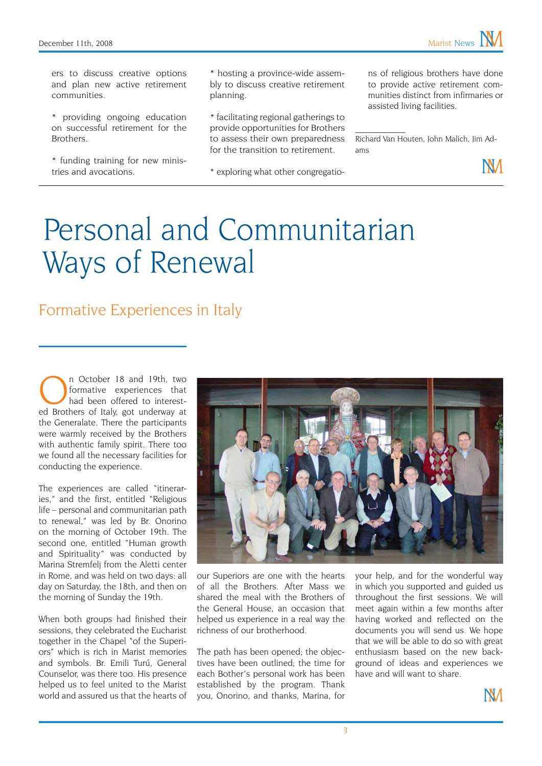ers to discuss creative options and plan new active retirement communities.

\* providing ongoing education on successful retirement for the Brothers.

\* funding training for new ministries and avocations.

\* hosting a province-wide assembly to discuss creative retirement planning.

\* facilitating regional gatherings to provide opportunities for Brothers to assess their own preparedness for the transition to retirement.

\* exploring what other congregatio-

ns of religious brothers have done to provide active retirement communities distinct from infirmaries or assisted living facilities.

Richard Van Houten, John Malich, Jim Adams

 $\mathcal{L}_\text{max}$ 



## Personal and Communitarian Ways of Renewal

#### Formative Experiences in Italy

In October 18 and 19th, two<br>formative experiences that<br>had been offered to interestformative experiences that had been offered to interested Brothers of Italy, got underway at the Generalate. There the participants were warmly received by the Brothers with authentic family spirit. There too we found all the necessary facilities for conducting the experience.

The experiences are called "itineraries," and the first, entitled "Religious life – personal and communitarian path to renewal," was led by Br. Onorino on the morning of October 19th. The second one, entitled "Human growth and Spirituality" was conducted by Marina Stremfelj from the Aletti center in Rome, and was held on two days: all day on Saturday, the 18th, and then on the morning of Sunday the 19th.

When both groups had finished their sessions, they celebrated the Eucharist together in the Chapel "of the Superiors" which is rich in Marist memories and symbols. Br. Emili Turú, General Counselor, was there too. His presence helped us to feel united to the Marist world and assured us that the hearts of



our Superiors are one with the hearts of all the Brothers. After Mass we shared the meal with the Brothers of the General House, an occasion that helped us experience in a real way the richness of our brotherhood.

The path has been opened; the objectives have been outlined; the time for each Bother's personal work has been established by the program. Thank you, Onorino, and thanks, Marina, for

your help, and for the wonderful way in which you supported and guided us throughout the first sessions. We will meet again within a few months after having worked and reflected on the documents you will send us. We hope that we will be able to do so with great enthusiasm based on the new background of ideas and experiences we have and will want to share.